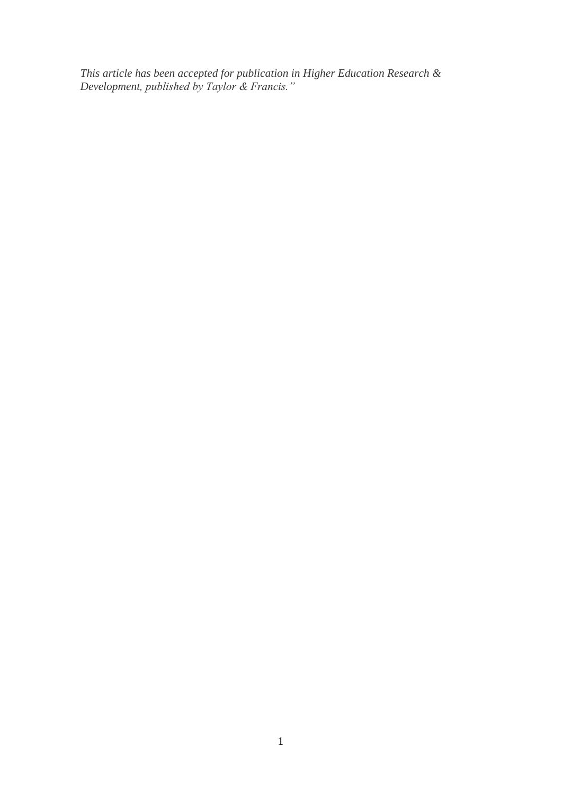*This article has been accepted for publication in Higher Education Research & Development, published by Taylor & Francis."*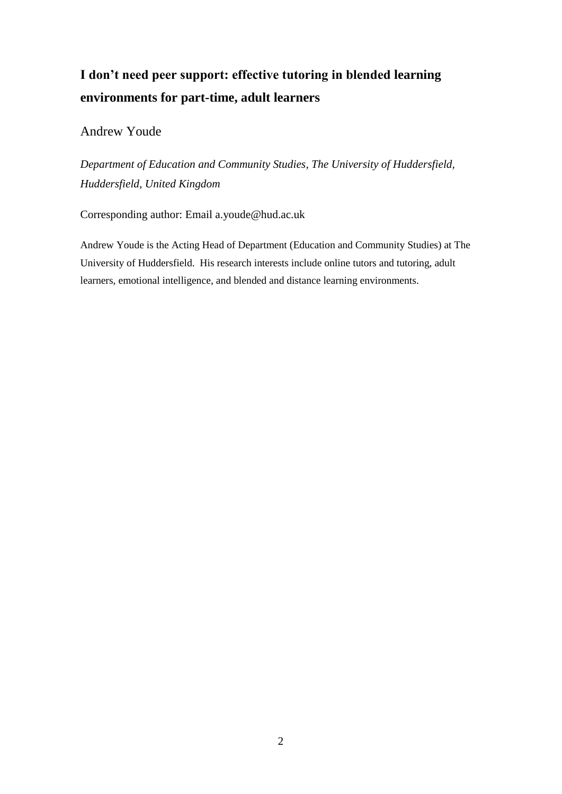# **I don't need peer support: effective tutoring in blended learning environments for part-time, adult learners**

### Andrew Youde

*Department of Education and Community Studies, The University of Huddersfield, Huddersfield, United Kingdom*

Corresponding author: Email a.youde@hud.ac.uk

Andrew Youde is the Acting Head of Department (Education and Community Studies) at The University of Huddersfield. His research interests include online tutors and tutoring, adult learners, emotional intelligence, and blended and distance learning environments.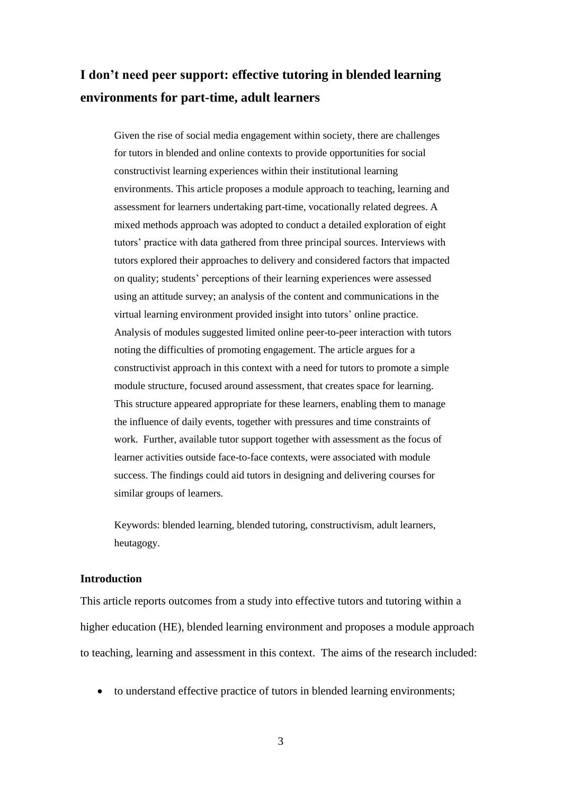## **I don't need peer support: effective tutoring in blended learning environments for part-time, adult learners**

Given the rise of social media engagement within society, there are challenges for tutors in blended and online contexts to provide opportunities for social constructivist learning experiences within their institutional learning environments. This article proposes a module approach to teaching, learning and assessment for learners undertaking part-time, vocationally related degrees. A mixed methods approach was adopted to conduct a detailed exploration of eight tutors' practice with data gathered from three principal sources. Interviews with tutors explored their approaches to delivery and considered factors that impacted on quality; students' perceptions of their learning experiences were assessed using an attitude survey; an analysis of the content and communications in the virtual learning environment provided insight into tutors' online practice. Analysis of modules suggested limited online peer-to-peer interaction with tutors noting the difficulties of promoting engagement. The article argues for a constructivist approach in this context with a need for tutors to promote a simple module structure, focused around assessment, that creates space for learning. This structure appeared appropriate for these learners, enabling them to manage the influence of daily events, together with pressures and time constraints of work. Further, available tutor support together with assessment as the focus of learner activities outside face-to-face contexts, were associated with module success. The findings could aid tutors in designing and delivering courses for similar groups of learners.

Keywords: blended learning, blended tutoring, constructivism, adult learners, heutagogy.

#### **Introduction**

This article reports outcomes from a study into effective tutors and tutoring within a higher education (HE), blended learning environment and proposes a module approach to teaching, learning and assessment in this context. The aims of the research included:

to understand effective practice of tutors in blended learning environments;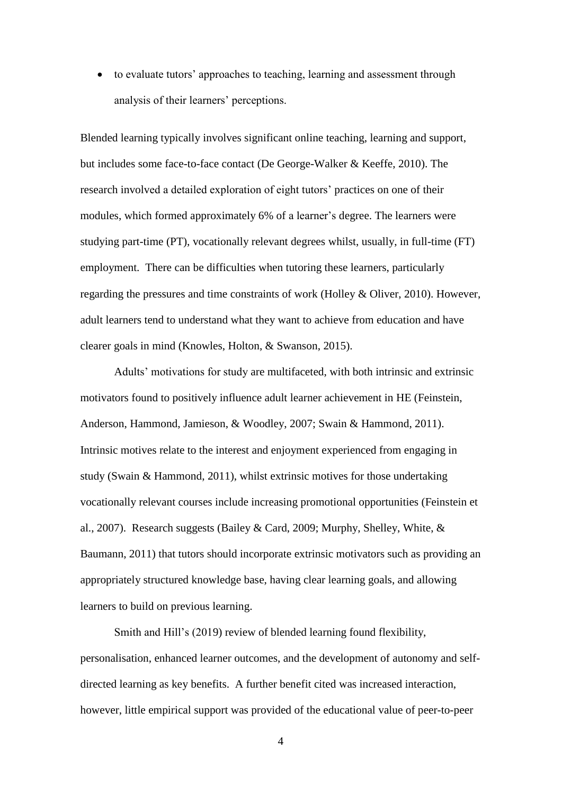• to evaluate tutors' approaches to teaching, learning and assessment through analysis of their learners' perceptions.

Blended learning typically involves significant online teaching, learning and support, but includes some face-to-face contact (De George-Walker & Keeffe, 2010). The research involved a detailed exploration of eight tutors' practices on one of their modules, which formed approximately 6% of a learner's degree. The learners were studying part-time (PT), vocationally relevant degrees whilst, usually, in full-time (FT) employment. There can be difficulties when tutoring these learners, particularly regarding the pressures and time constraints of work (Holley & Oliver, 2010). However, adult learners tend to understand what they want to achieve from education and have clearer goals in mind (Knowles, Holton, & Swanson, 2015).

Adults' motivations for study are multifaceted, with both intrinsic and extrinsic motivators found to positively influence adult learner achievement in HE (Feinstein, Anderson, Hammond, Jamieson, & Woodley, 2007; Swain & Hammond, 2011). Intrinsic motives relate to the interest and enjoyment experienced from engaging in study (Swain & Hammond, 2011), whilst extrinsic motives for those undertaking vocationally relevant courses include increasing promotional opportunities (Feinstein et al., 2007). Research suggests (Bailey & Card, 2009; Murphy, Shelley, White, & Baumann, 2011) that tutors should incorporate extrinsic motivators such as providing an appropriately structured knowledge base, having clear learning goals, and allowing learners to build on previous learning.

Smith and Hill's (2019) review of blended learning found flexibility, personalisation, enhanced learner outcomes, and the development of autonomy and selfdirected learning as key benefits. A further benefit cited was increased interaction, however, little empirical support was provided of the educational value of peer-to-peer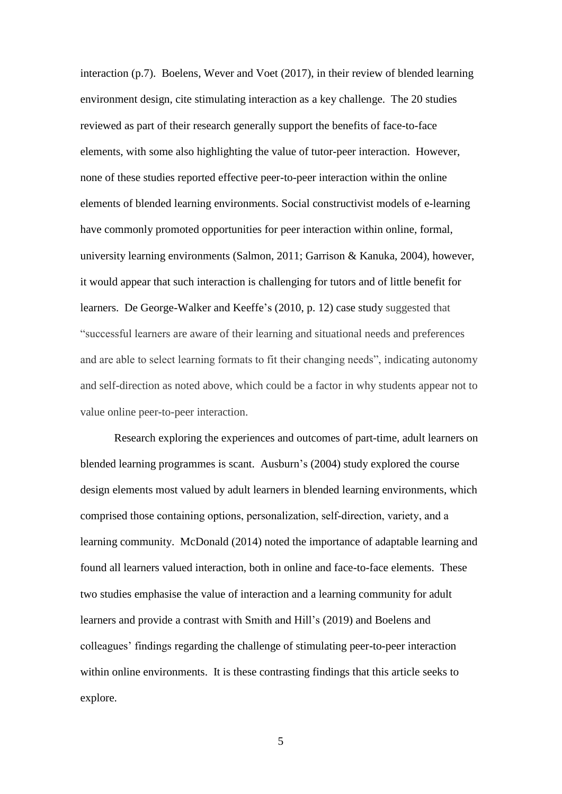interaction (p.7). Boelens, Wever and Voet (2017), in their review of blended learning environment design, cite stimulating interaction as a key challenge. The 20 studies reviewed as part of their research generally support the benefits of face-to-face elements, with some also highlighting the value of tutor-peer interaction. However, none of these studies reported effective peer-to-peer interaction within the online elements of blended learning environments. Social constructivist models of e-learning have commonly promoted opportunities for peer interaction within online, formal, university learning environments (Salmon, 2011; Garrison & Kanuka, 2004), however, it would appear that such interaction is challenging for tutors and of little benefit for learners. De George-Walker and Keeffe's (2010, p. 12) case study suggested that "successful learners are aware of their learning and situational needs and preferences and are able to select learning formats to fit their changing needs", indicating autonomy and self-direction as noted above, which could be a factor in why students appear not to value online peer-to-peer interaction.

Research exploring the experiences and outcomes of part-time, adult learners on blended learning programmes is scant. Ausburn's (2004) study explored the course design elements most valued by adult learners in blended learning environments, which comprised those containing options, personalization, self‐direction, variety, and a learning community. McDonald (2014) noted the importance of adaptable learning and found all learners valued interaction, both in online and face-to-face elements. These two studies emphasise the value of interaction and a learning community for adult learners and provide a contrast with Smith and Hill's (2019) and Boelens and colleagues' findings regarding the challenge of stimulating peer-to-peer interaction within online environments. It is these contrasting findings that this article seeks to explore.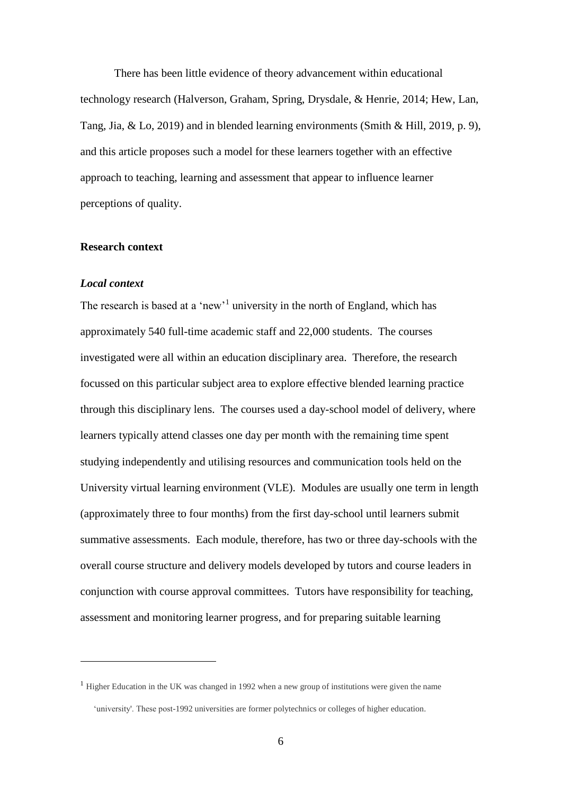There has been little evidence of theory advancement within educational technology research (Halverson, Graham, Spring, Drysdale, & Henrie, 2014; Hew, Lan, Tang, Jia, & Lo, 2019) and in blended learning environments (Smith & Hill, 2019, p. 9), and this article proposes such a model for these learners together with an effective approach to teaching, learning and assessment that appear to influence learner perceptions of quality.

#### **Research context**

#### *Local context*

<u>.</u>

The research is based at a 'new'<sup>1</sup> university in the north of England, which has approximately 540 full-time academic staff and 22,000 students. The courses investigated were all within an education disciplinary area. Therefore, the research focussed on this particular subject area to explore effective blended learning practice through this disciplinary lens. The courses used a day-school model of delivery, where learners typically attend classes one day per month with the remaining time spent studying independently and utilising resources and communication tools held on the University virtual learning environment (VLE). Modules are usually one term in length (approximately three to four months) from the first day-school until learners submit summative assessments. Each module, therefore, has two or three day-schools with the overall course structure and delivery models developed by tutors and course leaders in conjunction with course approval committees. Tutors have responsibility for teaching, assessment and monitoring learner progress, and for preparing suitable learning

<sup>&</sup>lt;sup>1</sup> Higher Education in the UK was changed in 1992 when a new group of institutions were given the name 'university'. These post-1992 universities are former polytechnics or colleges of higher education.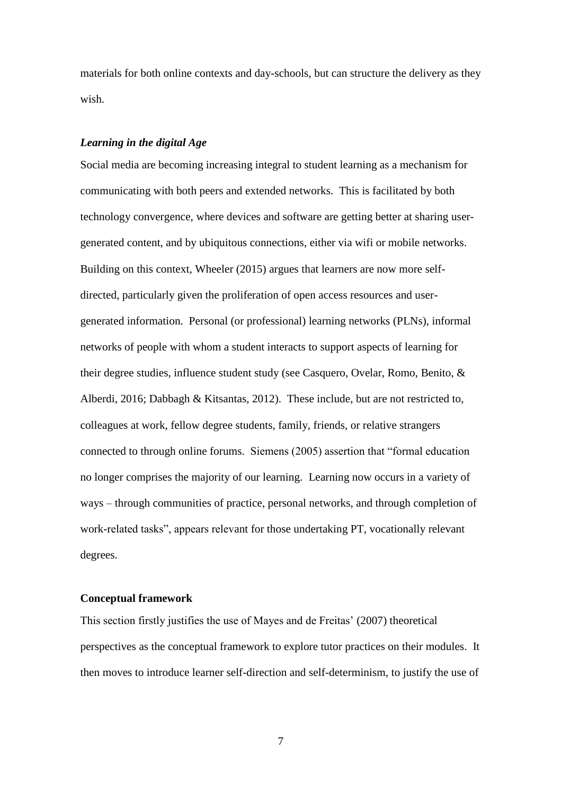materials for both online contexts and day-schools, but can structure the delivery as they wish.

#### *Learning in the digital Age*

Social media are becoming increasing integral to student learning as a mechanism for communicating with both peers and extended networks. This is facilitated by both technology convergence, where devices and software are getting better at sharing usergenerated content, and by ubiquitous connections, either via wifi or mobile networks. Building on this context, Wheeler (2015) argues that learners are now more selfdirected, particularly given the proliferation of open access resources and usergenerated information. Personal (or professional) learning networks (PLNs), informal networks of people with whom a student interacts to support aspects of learning for their degree studies, influence student study (see Casquero, Ovelar, Romo, Benito, & Alberdi, 2016; Dabbagh & Kitsantas, 2012). These include, but are not restricted to, colleagues at work, fellow degree students, family, friends, or relative strangers connected to through online forums. Siemens (2005) assertion that "formal education no longer comprises the majority of our learning. Learning now occurs in a variety of ways – through communities of practice, personal networks, and through completion of work-related tasks", appears relevant for those undertaking PT, vocationally relevant degrees.

#### **Conceptual framework**

This section firstly justifies the use of Mayes and de Freitas' (2007) theoretical perspectives as the conceptual framework to explore tutor practices on their modules. It then moves to introduce learner self-direction and self-determinism, to justify the use of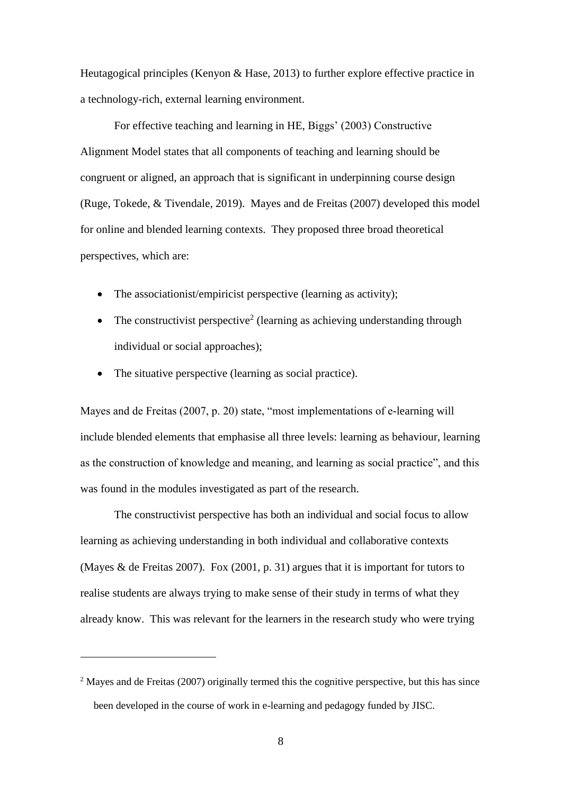Heutagogical principles (Kenyon & Hase, 2013) to further explore effective practice in a technology-rich, external learning environment.

For effective teaching and learning in HE, Biggs' (2003) Constructive Alignment Model states that all components of teaching and learning should be congruent or aligned, an approach that is significant in underpinning course design (Ruge, Tokede, & Tivendale, 2019). Mayes and de Freitas (2007) developed this model for online and blended learning contexts. They proposed three broad theoretical perspectives, which are:

- The associationist/empiricist perspective (learning as activity);
- The constructivist perspective<sup>2</sup> (learning as achieving understanding through individual or social approaches);
- The situative perspective (learning as social practice).

<u>.</u>

Mayes and de Freitas (2007, p. 20) state, "most implementations of e-learning will include blended elements that emphasise all three levels: learning as behaviour, learning as the construction of knowledge and meaning, and learning as social practice", and this was found in the modules investigated as part of the research.

The constructivist perspective has both an individual and social focus to allow learning as achieving understanding in both individual and collaborative contexts (Mayes & de Freitas 2007). Fox (2001, p. 31) argues that it is important for tutors to realise students are always trying to make sense of their study in terms of what they already know. This was relevant for the learners in the research study who were trying

<sup>&</sup>lt;sup>2</sup> Mayes and de Freitas (2007) originally termed this the cognitive perspective, but this has since been developed in the course of work in e-learning and pedagogy funded by JISC.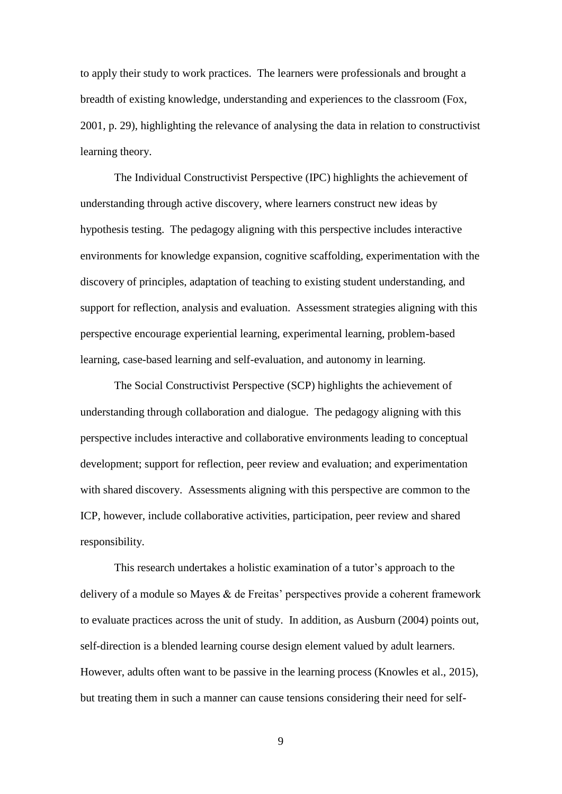to apply their study to work practices. The learners were professionals and brought a breadth of existing knowledge, understanding and experiences to the classroom (Fox, 2001, p. 29), highlighting the relevance of analysing the data in relation to constructivist learning theory.

The Individual Constructivist Perspective (IPC) highlights the achievement of understanding through active discovery, where learners construct new ideas by hypothesis testing. The pedagogy aligning with this perspective includes interactive environments for knowledge expansion, cognitive scaffolding, experimentation with the discovery of principles, adaptation of teaching to existing student understanding, and support for reflection, analysis and evaluation. Assessment strategies aligning with this perspective encourage experiential learning, experimental learning, problem-based learning, case-based learning and self-evaluation, and autonomy in learning.

The Social Constructivist Perspective (SCP) highlights the achievement of understanding through collaboration and dialogue. The pedagogy aligning with this perspective includes interactive and collaborative environments leading to conceptual development; support for reflection, peer review and evaluation; and experimentation with shared discovery. Assessments aligning with this perspective are common to the ICP, however, include collaborative activities, participation, peer review and shared responsibility.

This research undertakes a holistic examination of a tutor's approach to the delivery of a module so Mayes & de Freitas' perspectives provide a coherent framework to evaluate practices across the unit of study. In addition, as Ausburn (2004) points out, self-direction is a blended learning course design element valued by adult learners. However, adults often want to be passive in the learning process (Knowles et al., 2015), but treating them in such a manner can cause tensions considering their need for self-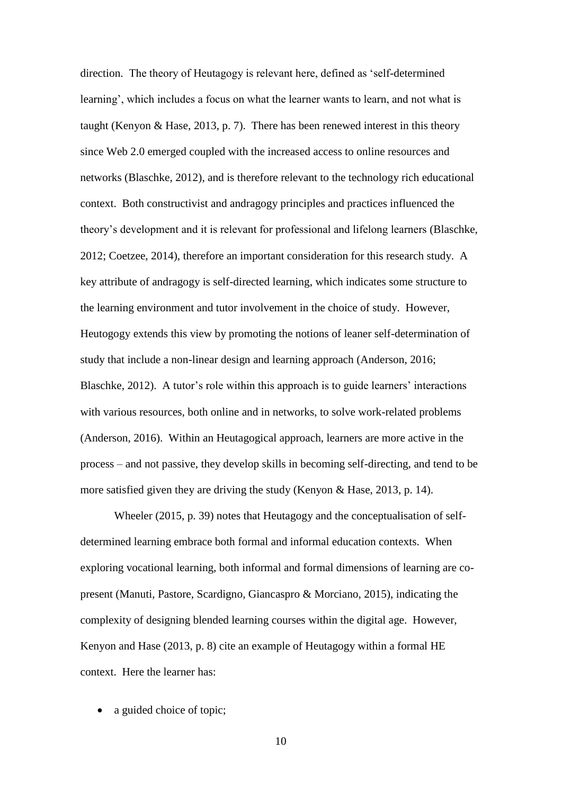direction. The theory of Heutagogy is relevant here, defined as 'self-determined learning', which includes a focus on what the learner wants to learn, and not what is taught (Kenyon & Hase, 2013, p. 7). There has been renewed interest in this theory since Web 2.0 emerged coupled with the increased access to online resources and networks (Blaschke, 2012), and is therefore relevant to the technology rich educational context. Both constructivist and andragogy principles and practices influenced the theory's development and it is relevant for professional and lifelong learners (Blaschke, 2012; Coetzee, 2014), therefore an important consideration for this research study. A key attribute of andragogy is self-directed learning, which indicates some structure to the learning environment and tutor involvement in the choice of study. However, Heutogogy extends this view by promoting the notions of leaner self-determination of study that include a non-linear design and learning approach (Anderson, 2016; Blaschke, 2012). A tutor's role within this approach is to guide learners' interactions with various resources, both online and in networks, to solve work-related problems (Anderson, 2016). Within an Heutagogical approach, learners are more active in the process – and not passive, they develop skills in becoming self-directing, and tend to be more satisfied given they are driving the study (Kenyon & Hase, 2013, p. 14).

Wheeler (2015, p. 39) notes that Heutagogy and the conceptualisation of selfdetermined learning embrace both formal and informal education contexts. When exploring vocational learning, both informal and formal dimensions of learning are copresent (Manuti, Pastore, Scardigno, Giancaspro & Morciano, 2015), indicating the complexity of designing blended learning courses within the digital age. However, Kenyon and Hase (2013, p. 8) cite an example of Heutagogy within a formal HE context. Here the learner has:

• a guided choice of topic;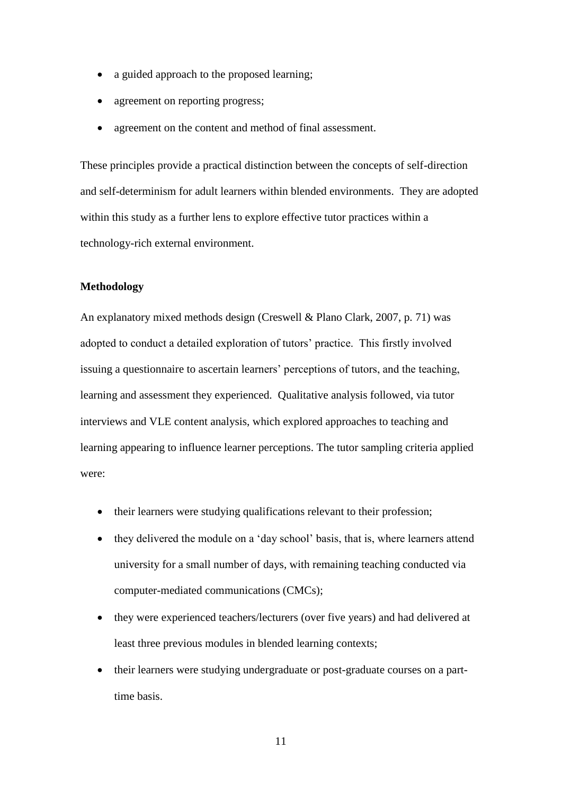- a guided approach to the proposed learning;
- agreement on reporting progress;
- agreement on the content and method of final assessment.

These principles provide a practical distinction between the concepts of self-direction and self-determinism for adult learners within blended environments. They are adopted within this study as a further lens to explore effective tutor practices within a technology-rich external environment.

#### **Methodology**

An explanatory mixed methods design (Creswell & Plano Clark, 2007, p. 71) was adopted to conduct a detailed exploration of tutors' practice. This firstly involved issuing a questionnaire to ascertain learners' perceptions of tutors, and the teaching, learning and assessment they experienced. Qualitative analysis followed, via tutor interviews and VLE content analysis, which explored approaches to teaching and learning appearing to influence learner perceptions. The tutor sampling criteria applied were:

- their learners were studying qualifications relevant to their profession;
- they delivered the module on a 'day school' basis, that is, where learners attend university for a small number of days, with remaining teaching conducted via computer-mediated communications (CMCs);
- they were experienced teachers/lecturers (over five years) and had delivered at least three previous modules in blended learning contexts;
- their learners were studying undergraduate or post-graduate courses on a parttime basis.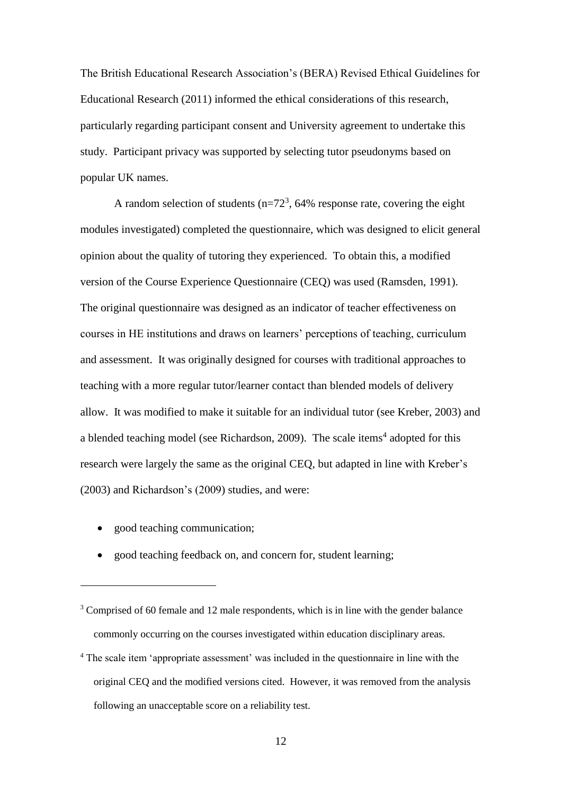The British Educational Research Association's (BERA) Revised Ethical Guidelines for Educational Research (2011) informed the ethical considerations of this research, particularly regarding participant consent and University agreement to undertake this study. Participant privacy was supported by selecting tutor pseudonyms based on popular UK names.

A random selection of students  $(n=72^3, 64\%$  response rate, covering the eight modules investigated) completed the questionnaire, which was designed to elicit general opinion about the quality of tutoring they experienced. To obtain this, a modified version of the Course Experience Questionnaire (CEQ) was used (Ramsden, 1991). The original questionnaire was designed as an indicator of teacher effectiveness on courses in HE institutions and draws on learners' perceptions of teaching, curriculum and assessment. It was originally designed for courses with traditional approaches to teaching with a more regular tutor/learner contact than blended models of delivery allow. It was modified to make it suitable for an individual tutor (see Kreber, 2003) and a blended teaching model (see Richardson, 2009). The scale items<sup>4</sup> adopted for this research were largely the same as the original CEQ, but adapted in line with Kreber's (2003) and Richardson's (2009) studies, and were:

• good teaching communication;

<u>.</u>

• good teaching feedback on, and concern for, student learning;

<sup>&</sup>lt;sup>3</sup> Comprised of 60 female and 12 male respondents, which is in line with the gender balance commonly occurring on the courses investigated within education disciplinary areas.

<sup>4</sup> The scale item 'appropriate assessment' was included in the questionnaire in line with the original CEQ and the modified versions cited. However, it was removed from the analysis following an unacceptable score on a reliability test.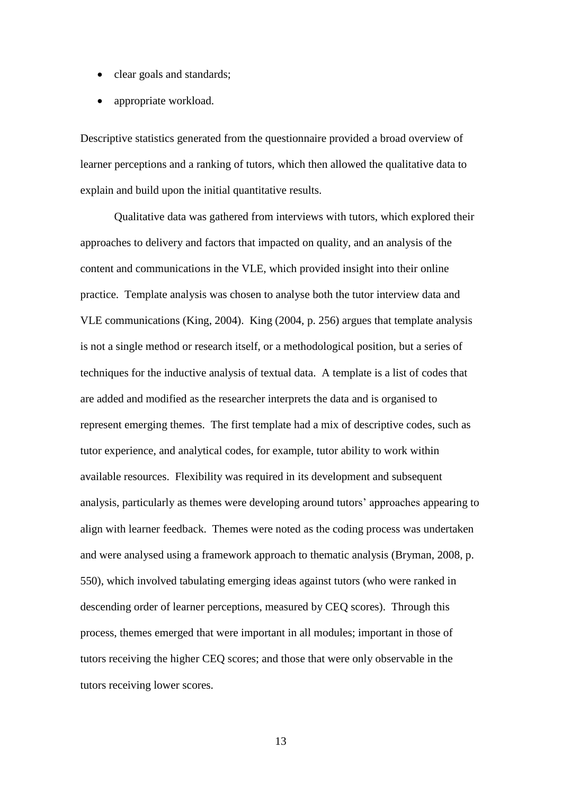- clear goals and standards;
- appropriate workload.

Descriptive statistics generated from the questionnaire provided a broad overview of learner perceptions and a ranking of tutors, which then allowed the qualitative data to explain and build upon the initial quantitative results.

Qualitative data was gathered from interviews with tutors, which explored their approaches to delivery and factors that impacted on quality, and an analysis of the content and communications in the VLE, which provided insight into their online practice. Template analysis was chosen to analyse both the tutor interview data and VLE communications (King, 2004). King (2004, p. 256) argues that template analysis is not a single method or research itself, or a methodological position, but a series of techniques for the inductive analysis of textual data. A template is a list of codes that are added and modified as the researcher interprets the data and is organised to represent emerging themes. The first template had a mix of descriptive codes, such as tutor experience, and analytical codes, for example, tutor ability to work within available resources. Flexibility was required in its development and subsequent analysis, particularly as themes were developing around tutors' approaches appearing to align with learner feedback. Themes were noted as the coding process was undertaken and were analysed using a framework approach to thematic analysis (Bryman, 2008, p. 550), which involved tabulating emerging ideas against tutors (who were ranked in descending order of learner perceptions, measured by CEQ scores). Through this process, themes emerged that were important in all modules; important in those of tutors receiving the higher CEQ scores; and those that were only observable in the tutors receiving lower scores.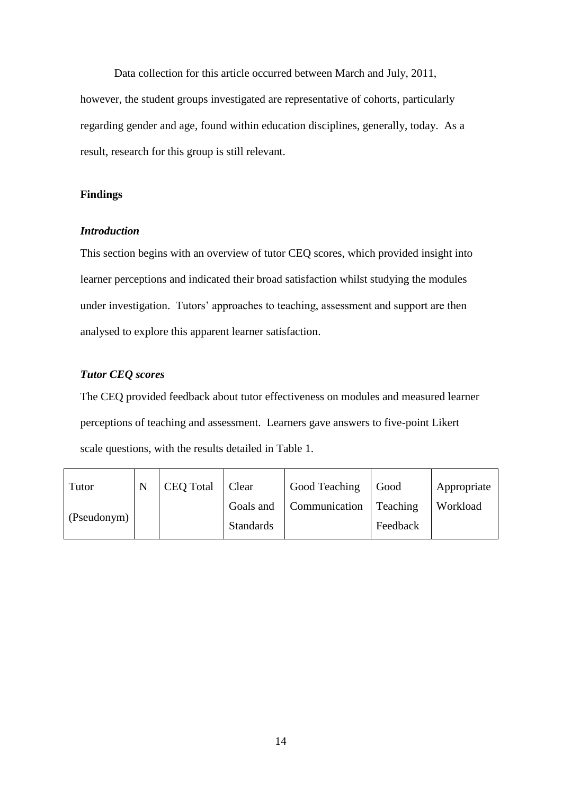Data collection for this article occurred between March and July, 2011, however, the student groups investigated are representative of cohorts, particularly regarding gender and age, found within education disciplines, generally, today. As a result, research for this group is still relevant.

#### **Findings**

#### *Introduction*

This section begins with an overview of tutor CEQ scores, which provided insight into learner perceptions and indicated their broad satisfaction whilst studying the modules under investigation. Tutors' approaches to teaching, assessment and support are then analysed to explore this apparent learner satisfaction.

#### *Tutor CEQ scores*

The CEQ provided feedback about tutor effectiveness on modules and measured learner perceptions of teaching and assessment. Learners gave answers to five-point Likert scale questions, with the results detailed in Table 1.

| Tutor       | <b>CEQ Total</b> | <b>Clear</b>     | Good Teaching | Good     | Appropriate |
|-------------|------------------|------------------|---------------|----------|-------------|
| (Pseudonym) |                  | Goals and        | Communication | Teaching | Workload    |
|             |                  | <b>Standards</b> |               | Feedback |             |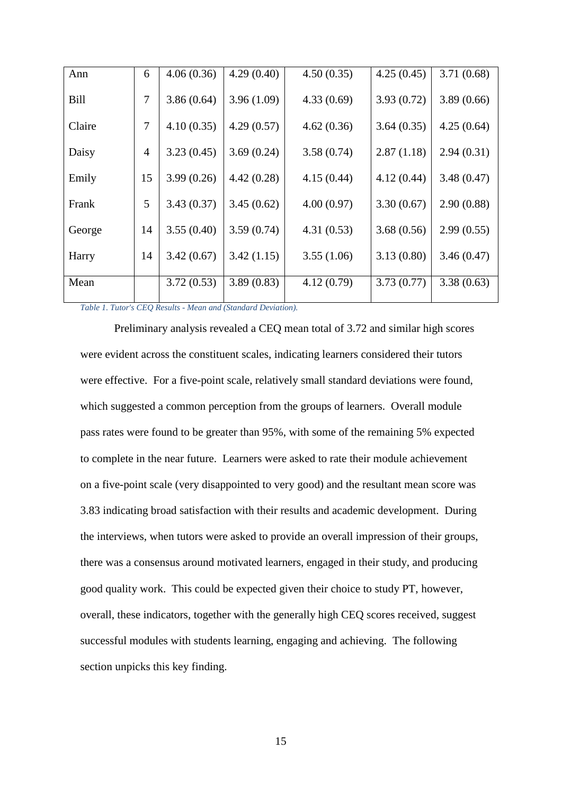| Ann         | 6              | 4.06(0.36) | 4.29(0.40) | 4.50(0.35) | 4.25(0.45) | 3.71(0.68) |
|-------------|----------------|------------|------------|------------|------------|------------|
| <b>Bill</b> | 7              | 3.86(0.64) | 3.96(1.09) | 4.33(0.69) | 3.93(0.72) | 3.89(0.66) |
| Claire      | 7              | 4.10(0.35) | 4.29(0.57) | 4.62(0.36) | 3.64(0.35) | 4.25(0.64) |
| Daisy       | $\overline{4}$ | 3.23(0.45) | 3.69(0.24) | 3.58(0.74) | 2.87(1.18) | 2.94(0.31) |
| Emily       | 15             | 3.99(0.26) | 4.42(0.28) | 4.15(0.44) | 4.12(0.44) | 3.48(0.47) |
| Frank       | 5              | 3.43(0.37) | 3.45(0.62) | 4.00(0.97) | 3.30(0.67) | 2.90(0.88) |
| George      | 14             | 3.55(0.40) | 3.59(0.74) | 4.31(0.53) | 3.68(0.56) | 2.99(0.55) |
| Harry       | 14             | 3.42(0.67) | 3.42(1.15) | 3.55(1.06) | 3.13(0.80) | 3.46(0.47) |
| Mean        |                | 3.72(0.53) | 3.89(0.83) | 4.12(0.79) | 3.73(0.77) | 3.38(0.63) |

*Table 1. Tutor's CEQ Results - Mean and (Standard Deviation).*

Preliminary analysis revealed a CEQ mean total of 3.72 and similar high scores were evident across the constituent scales, indicating learners considered their tutors were effective. For a five-point scale, relatively small standard deviations were found, which suggested a common perception from the groups of learners. Overall module pass rates were found to be greater than 95%, with some of the remaining 5% expected to complete in the near future. Learners were asked to rate their module achievement on a five-point scale (very disappointed to very good) and the resultant mean score was 3.83 indicating broad satisfaction with their results and academic development. During the interviews, when tutors were asked to provide an overall impression of their groups, there was a consensus around motivated learners, engaged in their study, and producing good quality work. This could be expected given their choice to study PT, however, overall, these indicators, together with the generally high CEQ scores received, suggest successful modules with students learning, engaging and achieving. The following section unpicks this key finding.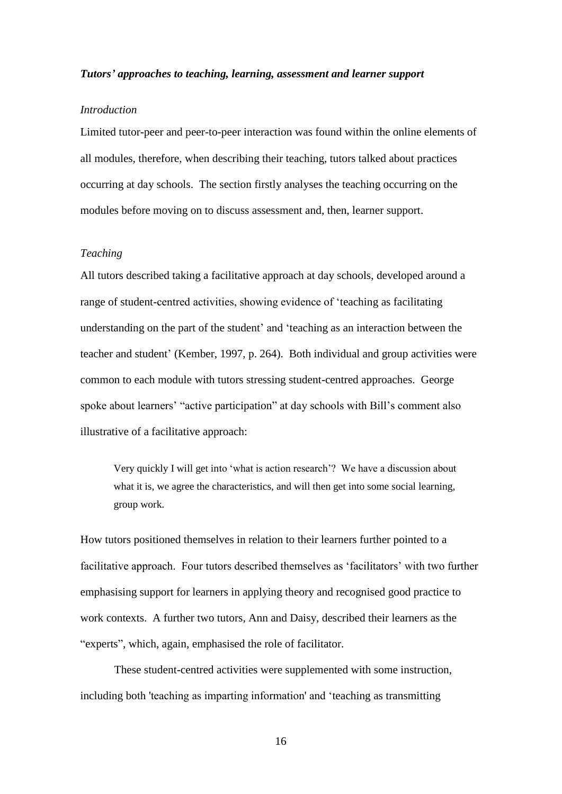#### *Tutors' approaches to teaching, learning, assessment and learner support*

#### *Introduction*

Limited tutor-peer and peer-to-peer interaction was found within the online elements of all modules, therefore, when describing their teaching, tutors talked about practices occurring at day schools. The section firstly analyses the teaching occurring on the modules before moving on to discuss assessment and, then, learner support.

#### *Teaching*

All tutors described taking a facilitative approach at day schools, developed around a range of student-centred activities, showing evidence of 'teaching as facilitating understanding on the part of the student' and 'teaching as an interaction between the teacher and student' (Kember, 1997, p. 264). Both individual and group activities were common to each module with tutors stressing student-centred approaches. George spoke about learners' "active participation" at day schools with Bill's comment also illustrative of a facilitative approach:

Very quickly I will get into 'what is action research'? We have a discussion about what it is, we agree the characteristics, and will then get into some social learning, group work.

How tutors positioned themselves in relation to their learners further pointed to a facilitative approach. Four tutors described themselves as 'facilitators' with two further emphasising support for learners in applying theory and recognised good practice to work contexts. A further two tutors, Ann and Daisy, described their learners as the "experts", which, again, emphasised the role of facilitator.

These student-centred activities were supplemented with some instruction, including both 'teaching as imparting information' and 'teaching as transmitting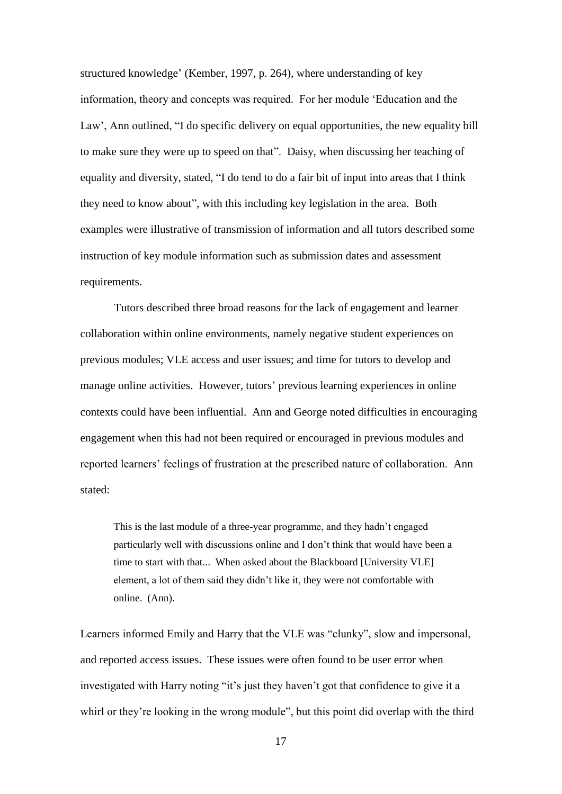structured knowledge' (Kember, 1997, p. 264), where understanding of key information, theory and concepts was required. For her module 'Education and the Law', Ann outlined, "I do specific delivery on equal opportunities, the new equality bill to make sure they were up to speed on that". Daisy, when discussing her teaching of equality and diversity, stated, "I do tend to do a fair bit of input into areas that I think they need to know about", with this including key legislation in the area. Both examples were illustrative of transmission of information and all tutors described some instruction of key module information such as submission dates and assessment requirements.

Tutors described three broad reasons for the lack of engagement and learner collaboration within online environments, namely negative student experiences on previous modules; VLE access and user issues; and time for tutors to develop and manage online activities. However, tutors' previous learning experiences in online contexts could have been influential. Ann and George noted difficulties in encouraging engagement when this had not been required or encouraged in previous modules and reported learners' feelings of frustration at the prescribed nature of collaboration. Ann stated:

This is the last module of a three-year programme, and they hadn't engaged particularly well with discussions online and I don't think that would have been a time to start with that... When asked about the Blackboard [University VLE] element, a lot of them said they didn't like it, they were not comfortable with online. (Ann).

Learners informed Emily and Harry that the VLE was "clunky", slow and impersonal, and reported access issues. These issues were often found to be user error when investigated with Harry noting "it's just they haven't got that confidence to give it a whirl or they're looking in the wrong module", but this point did overlap with the third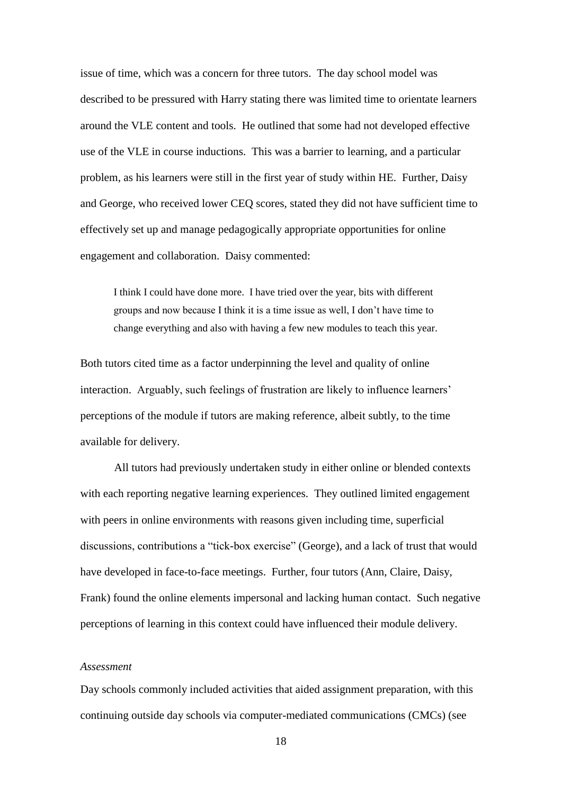issue of time, which was a concern for three tutors. The day school model was described to be pressured with Harry stating there was limited time to orientate learners around the VLE content and tools. He outlined that some had not developed effective use of the VLE in course inductions. This was a barrier to learning, and a particular problem, as his learners were still in the first year of study within HE. Further, Daisy and George, who received lower CEQ scores, stated they did not have sufficient time to effectively set up and manage pedagogically appropriate opportunities for online engagement and collaboration. Daisy commented:

I think I could have done more. I have tried over the year, bits with different groups and now because I think it is a time issue as well, I don't have time to change everything and also with having a few new modules to teach this year.

Both tutors cited time as a factor underpinning the level and quality of online interaction. Arguably, such feelings of frustration are likely to influence learners' perceptions of the module if tutors are making reference, albeit subtly, to the time available for delivery.

All tutors had previously undertaken study in either online or blended contexts with each reporting negative learning experiences. They outlined limited engagement with peers in online environments with reasons given including time, superficial discussions, contributions a "tick-box exercise" (George), and a lack of trust that would have developed in face-to-face meetings. Further, four tutors (Ann, Claire, Daisy, Frank) found the online elements impersonal and lacking human contact. Such negative perceptions of learning in this context could have influenced their module delivery.

#### *Assessment*

Day schools commonly included activities that aided assignment preparation, with this continuing outside day schools via computer-mediated communications (CMCs) (see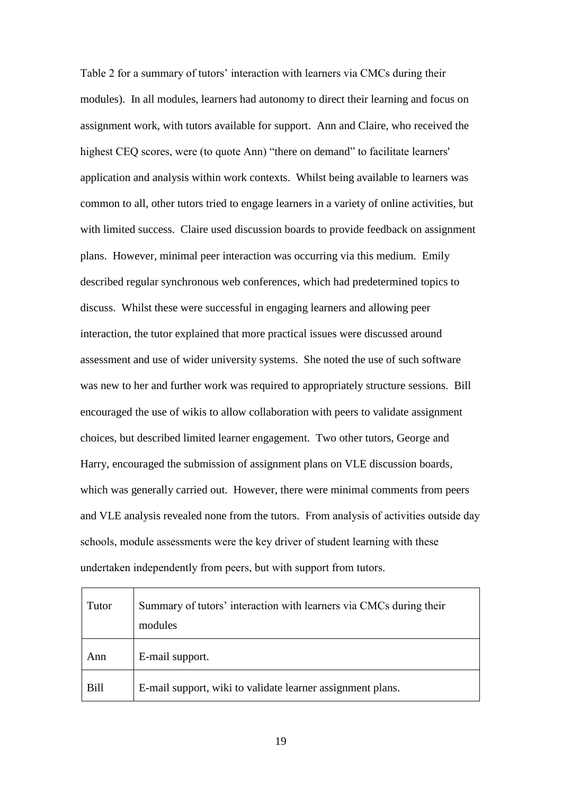Table 2 for a summary of tutors' interaction with learners via CMCs during their modules). In all modules, learners had autonomy to direct their learning and focus on assignment work, with tutors available for support. Ann and Claire, who received the highest CEQ scores, were (to quote Ann) "there on demand" to facilitate learners' application and analysis within work contexts. Whilst being available to learners was common to all, other tutors tried to engage learners in a variety of online activities, but with limited success. Claire used discussion boards to provide feedback on assignment plans. However, minimal peer interaction was occurring via this medium. Emily described regular synchronous web conferences, which had predetermined topics to discuss. Whilst these were successful in engaging learners and allowing peer interaction, the tutor explained that more practical issues were discussed around assessment and use of wider university systems. She noted the use of such software was new to her and further work was required to appropriately structure sessions. Bill encouraged the use of wikis to allow collaboration with peers to validate assignment choices, but described limited learner engagement. Two other tutors, George and Harry, encouraged the submission of assignment plans on VLE discussion boards, which was generally carried out. However, there were minimal comments from peers and VLE analysis revealed none from the tutors. From analysis of activities outside day schools, module assessments were the key driver of student learning with these undertaken independently from peers, but with support from tutors.

| Tutor       | Summary of tutors' interaction with learners via CMCs during their<br>modules |
|-------------|-------------------------------------------------------------------------------|
| Ann         | E-mail support.                                                               |
| <b>Bill</b> | E-mail support, wiki to validate learner assignment plans.                    |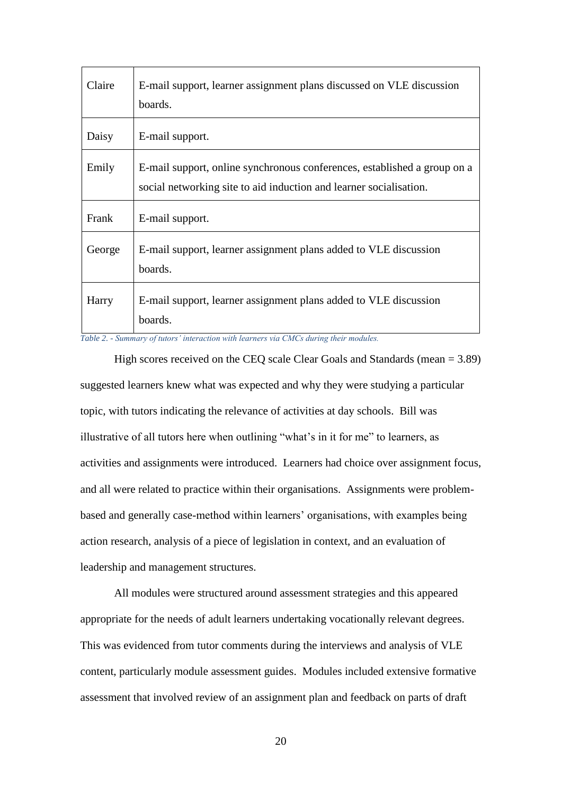| Claire | E-mail support, learner assignment plans discussed on VLE discussion<br>boards.                                                                |
|--------|------------------------------------------------------------------------------------------------------------------------------------------------|
| Daisy  | E-mail support.                                                                                                                                |
| Emily  | E-mail support, online synchronous conferences, established a group on a<br>social networking site to aid induction and learner socialisation. |
| Frank  | E-mail support.                                                                                                                                |
| George | E-mail support, learner assignment plans added to VLE discussion<br>boards.                                                                    |
| Harry  | E-mail support, learner assignment plans added to VLE discussion<br>boards.                                                                    |

*Table 2. - Summary of tutors' interaction with learners via CMCs during their modules.*

High scores received on the CEQ scale Clear Goals and Standards (mean = 3.89) suggested learners knew what was expected and why they were studying a particular topic, with tutors indicating the relevance of activities at day schools. Bill was illustrative of all tutors here when outlining "what's in it for me" to learners, as activities and assignments were introduced. Learners had choice over assignment focus, and all were related to practice within their organisations. Assignments were problembased and generally case-method within learners' organisations, with examples being action research, analysis of a piece of legislation in context, and an evaluation of leadership and management structures.

All modules were structured around assessment strategies and this appeared appropriate for the needs of adult learners undertaking vocationally relevant degrees. This was evidenced from tutor comments during the interviews and analysis of VLE content, particularly module assessment guides. Modules included extensive formative assessment that involved review of an assignment plan and feedback on parts of draft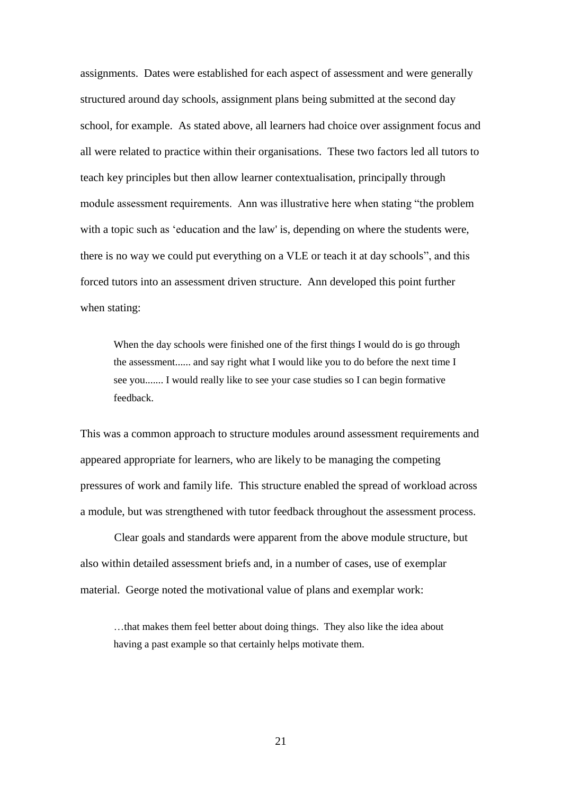assignments. Dates were established for each aspect of assessment and were generally structured around day schools, assignment plans being submitted at the second day school, for example. As stated above, all learners had choice over assignment focus and all were related to practice within their organisations. These two factors led all tutors to teach key principles but then allow learner contextualisation, principally through module assessment requirements. Ann was illustrative here when stating "the problem with a topic such as 'education and the law' is, depending on where the students were, there is no way we could put everything on a VLE or teach it at day schools", and this forced tutors into an assessment driven structure. Ann developed this point further when stating:

When the day schools were finished one of the first things I would do is go through the assessment...... and say right what I would like you to do before the next time I see you....... I would really like to see your case studies so I can begin formative feedback.

This was a common approach to structure modules around assessment requirements and appeared appropriate for learners, who are likely to be managing the competing pressures of work and family life. This structure enabled the spread of workload across a module, but was strengthened with tutor feedback throughout the assessment process.

Clear goals and standards were apparent from the above module structure, but also within detailed assessment briefs and, in a number of cases, use of exemplar material. George noted the motivational value of plans and exemplar work:

…that makes them feel better about doing things. They also like the idea about having a past example so that certainly helps motivate them.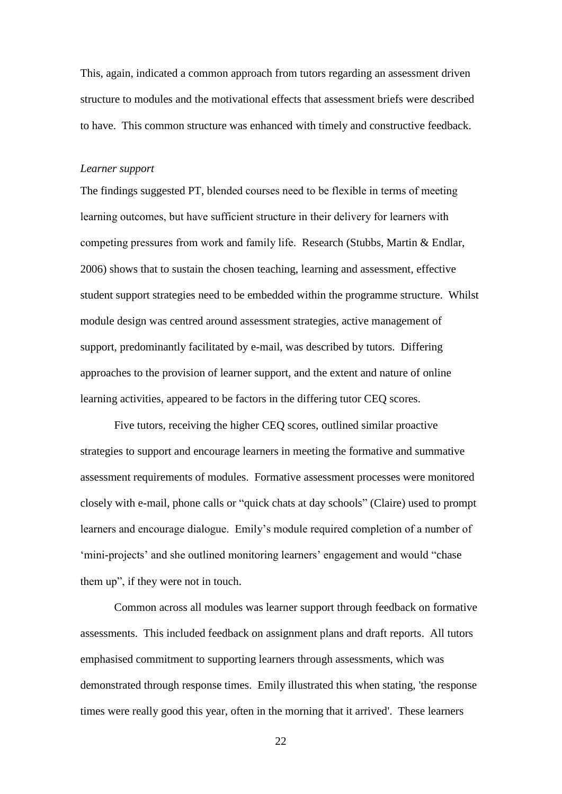This, again, indicated a common approach from tutors regarding an assessment driven structure to modules and the motivational effects that assessment briefs were described to have. This common structure was enhanced with timely and constructive feedback.

#### *Learner support*

The findings suggested PT, blended courses need to be flexible in terms of meeting learning outcomes, but have sufficient structure in their delivery for learners with competing pressures from work and family life. Research (Stubbs, Martin & Endlar, 2006) shows that to sustain the chosen teaching, learning and assessment, effective student support strategies need to be embedded within the programme structure. Whilst module design was centred around assessment strategies, active management of support, predominantly facilitated by e-mail, was described by tutors. Differing approaches to the provision of learner support, and the extent and nature of online learning activities, appeared to be factors in the differing tutor CEQ scores.

Five tutors, receiving the higher CEQ scores, outlined similar proactive strategies to support and encourage learners in meeting the formative and summative assessment requirements of modules. Formative assessment processes were monitored closely with e-mail, phone calls or "quick chats at day schools" (Claire) used to prompt learners and encourage dialogue. Emily's module required completion of a number of 'mini-projects' and she outlined monitoring learners' engagement and would "chase them up", if they were not in touch.

Common across all modules was learner support through feedback on formative assessments. This included feedback on assignment plans and draft reports. All tutors emphasised commitment to supporting learners through assessments, which was demonstrated through response times. Emily illustrated this when stating, 'the response times were really good this year, often in the morning that it arrived'. These learners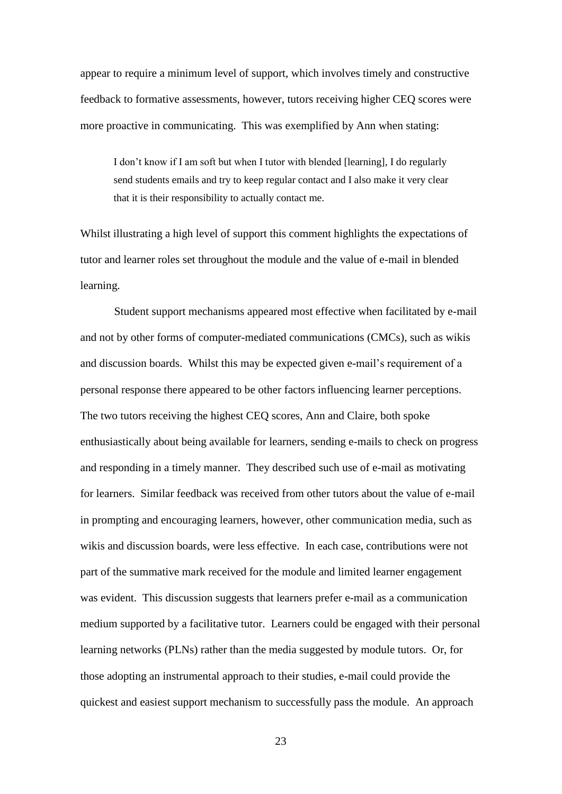appear to require a minimum level of support, which involves timely and constructive feedback to formative assessments, however, tutors receiving higher CEQ scores were more proactive in communicating. This was exemplified by Ann when stating:

I don't know if I am soft but when I tutor with blended [learning], I do regularly send students emails and try to keep regular contact and I also make it very clear that it is their responsibility to actually contact me.

Whilst illustrating a high level of support this comment highlights the expectations of tutor and learner roles set throughout the module and the value of e-mail in blended learning.

Student support mechanisms appeared most effective when facilitated by e-mail and not by other forms of computer-mediated communications (CMCs), such as wikis and discussion boards. Whilst this may be expected given e-mail's requirement of a personal response there appeared to be other factors influencing learner perceptions. The two tutors receiving the highest CEQ scores, Ann and Claire, both spoke enthusiastically about being available for learners, sending e-mails to check on progress and responding in a timely manner. They described such use of e-mail as motivating for learners. Similar feedback was received from other tutors about the value of e-mail in prompting and encouraging learners, however, other communication media, such as wikis and discussion boards, were less effective. In each case, contributions were not part of the summative mark received for the module and limited learner engagement was evident. This discussion suggests that learners prefer e-mail as a communication medium supported by a facilitative tutor. Learners could be engaged with their personal learning networks (PLNs) rather than the media suggested by module tutors. Or, for those adopting an instrumental approach to their studies, e-mail could provide the quickest and easiest support mechanism to successfully pass the module. An approach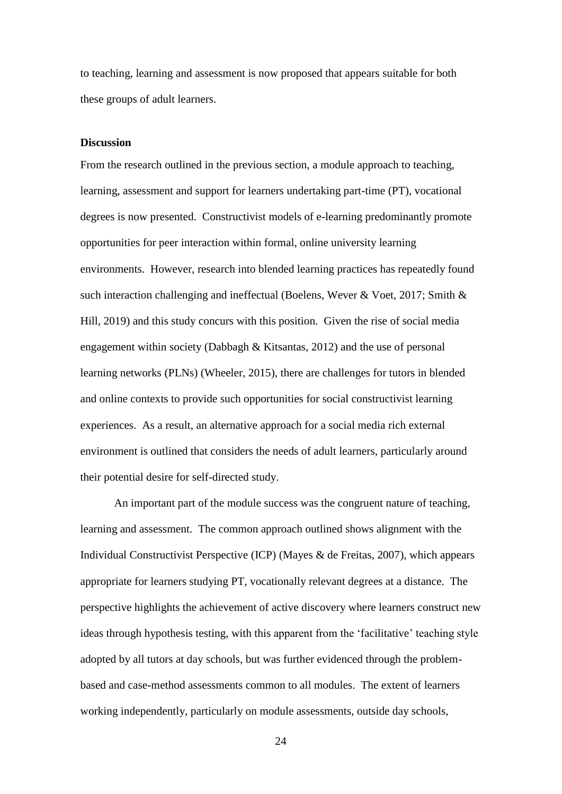to teaching, learning and assessment is now proposed that appears suitable for both these groups of adult learners.

#### **Discussion**

From the research outlined in the previous section, a module approach to teaching, learning, assessment and support for learners undertaking part-time (PT), vocational degrees is now presented. Constructivist models of e-learning predominantly promote opportunities for peer interaction within formal, online university learning environments. However, research into blended learning practices has repeatedly found such interaction challenging and ineffectual (Boelens, Wever & Voet, 2017; Smith & Hill, 2019) and this study concurs with this position. Given the rise of social media engagement within society (Dabbagh & Kitsantas, 2012) and the use of personal learning networks (PLNs) (Wheeler, 2015), there are challenges for tutors in blended and online contexts to provide such opportunities for social constructivist learning experiences. As a result, an alternative approach for a social media rich external environment is outlined that considers the needs of adult learners, particularly around their potential desire for self-directed study.

An important part of the module success was the congruent nature of teaching, learning and assessment. The common approach outlined shows alignment with the Individual Constructivist Perspective (ICP) (Mayes & de Freitas, 2007), which appears appropriate for learners studying PT, vocationally relevant degrees at a distance. The perspective highlights the achievement of active discovery where learners construct new ideas through hypothesis testing, with this apparent from the 'facilitative' teaching style adopted by all tutors at day schools, but was further evidenced through the problembased and case-method assessments common to all modules. The extent of learners working independently, particularly on module assessments, outside day schools,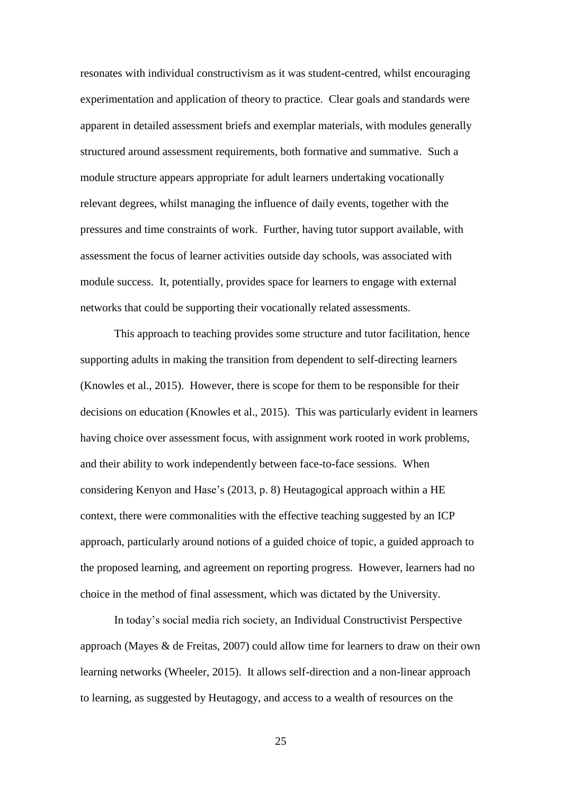resonates with individual constructivism as it was student-centred, whilst encouraging experimentation and application of theory to practice. Clear goals and standards were apparent in detailed assessment briefs and exemplar materials, with modules generally structured around assessment requirements, both formative and summative. Such a module structure appears appropriate for adult learners undertaking vocationally relevant degrees, whilst managing the influence of daily events, together with the pressures and time constraints of work. Further, having tutor support available, with assessment the focus of learner activities outside day schools, was associated with module success. It, potentially, provides space for learners to engage with external networks that could be supporting their vocationally related assessments.

This approach to teaching provides some structure and tutor facilitation, hence supporting adults in making the transition from dependent to self-directing learners (Knowles et al., 2015). However, there is scope for them to be responsible for their decisions on education (Knowles et al., 2015). This was particularly evident in learners having choice over assessment focus, with assignment work rooted in work problems, and their ability to work independently between face-to-face sessions. When considering Kenyon and Hase's (2013, p. 8) Heutagogical approach within a HE context, there were commonalities with the effective teaching suggested by an ICP approach, particularly around notions of a guided choice of topic, a guided approach to the proposed learning, and agreement on reporting progress. However, learners had no choice in the method of final assessment, which was dictated by the University.

In today's social media rich society, an Individual Constructivist Perspective approach (Mayes & de Freitas, 2007) could allow time for learners to draw on their own learning networks (Wheeler, 2015). It allows self-direction and a non-linear approach to learning, as suggested by Heutagogy, and access to a wealth of resources on the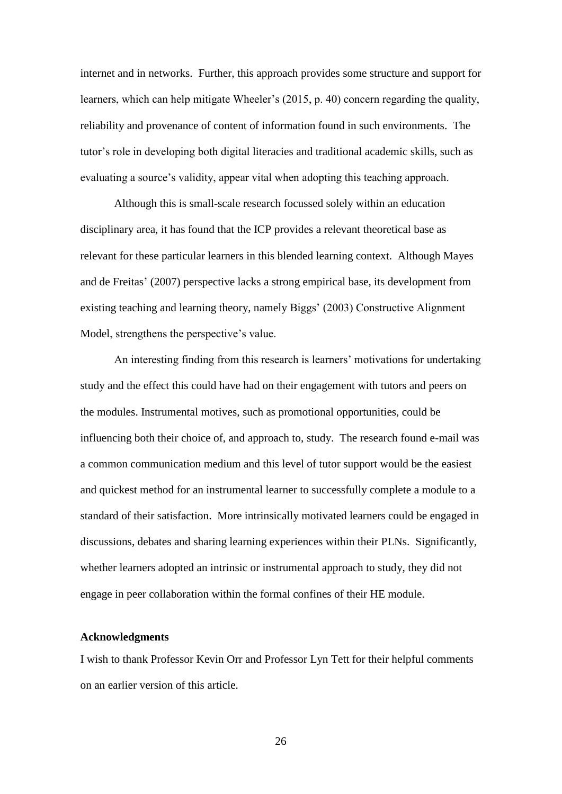internet and in networks. Further, this approach provides some structure and support for learners, which can help mitigate Wheeler's (2015, p. 40) concern regarding the quality, reliability and provenance of content of information found in such environments. The tutor's role in developing both digital literacies and traditional academic skills, such as evaluating a source's validity, appear vital when adopting this teaching approach.

Although this is small-scale research focussed solely within an education disciplinary area, it has found that the ICP provides a relevant theoretical base as relevant for these particular learners in this blended learning context. Although Mayes and de Freitas' (2007) perspective lacks a strong empirical base, its development from existing teaching and learning theory, namely Biggs' (2003) Constructive Alignment Model, strengthens the perspective's value.

An interesting finding from this research is learners' motivations for undertaking study and the effect this could have had on their engagement with tutors and peers on the modules. Instrumental motives, such as promotional opportunities, could be influencing both their choice of, and approach to, study. The research found e-mail was a common communication medium and this level of tutor support would be the easiest and quickest method for an instrumental learner to successfully complete a module to a standard of their satisfaction. More intrinsically motivated learners could be engaged in discussions, debates and sharing learning experiences within their PLNs. Significantly, whether learners adopted an intrinsic or instrumental approach to study, they did not engage in peer collaboration within the formal confines of their HE module.

#### **Acknowledgments**

I wish to thank Professor Kevin Orr and Professor Lyn Tett for their helpful comments on an earlier version of this article.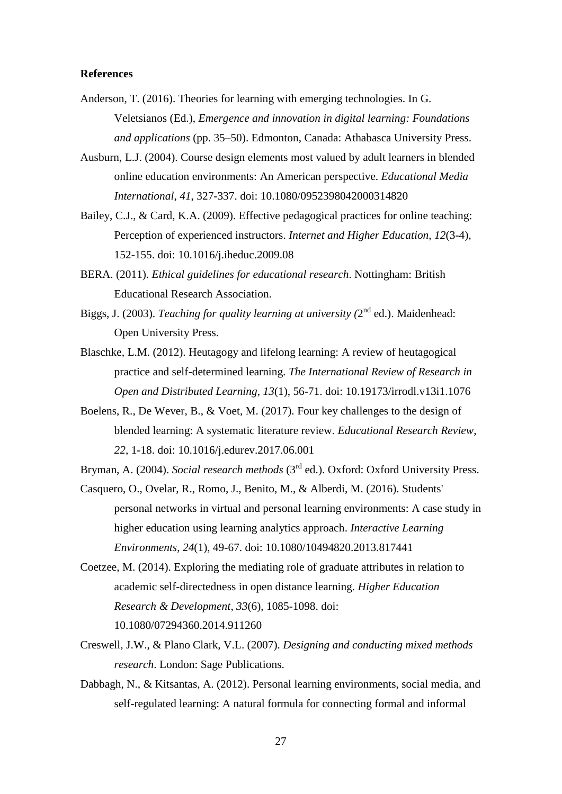#### **References**

- Anderson, T. (2016). Theories for learning with emerging technologies. In G. Veletsianos (Ed.), *Emergence and innovation in digital learning: Foundations and applications* (pp. 35–50). Edmonton, Canada: Athabasca University Press.
- Ausburn, L.J. (2004). Course design elements most valued by adult learners in blended online education environments: An American perspective. *Educational Media International*, *41*, 327-337. doi: 10.1080/0952398042000314820
- Bailey, C.J., & Card, K.A. (2009). Effective pedagogical practices for online teaching: Perception of experienced instructors. *Internet and Higher Education*, *12*(3-4), 152-155. doi: 10.1016/j.iheduc.2009.08
- BERA. (2011). *Ethical guidelines for educational research*. Nottingham: British Educational Research Association.
- Biggs, J. (2003). *Teaching for quality learning at university* (2<sup>nd</sup> ed.). Maidenhead: Open University Press.
- Blaschke, L.M. (2012). Heutagogy and lifelong learning: A review of heutagogical practice and self-determined learning. *The International Review of Research in Open and Distributed Learning*, *13*(1), 56-71. doi: 10.19173/irrodl.v13i1.1076
- Boelens, R., De Wever, B., & Voet, M. (2017). Four key challenges to the design of blended learning: A systematic literature review. *Educational Research Review*, *22*, 1-18. doi: 10.1016/j.edurev.2017.06.001
- Bryman, A. (2004). *Social research methods* (3<sup>rd</sup> ed.). Oxford: Oxford University Press.
- Casquero, O., Ovelar, R., Romo, J., Benito, M., & Alberdi, M. (2016). Students' personal networks in virtual and personal learning environments: A case study in higher education using learning analytics approach. *Interactive Learning Environments*, *24*(1), 49-67. doi: 10.1080/10494820.2013.817441
- Coetzee, M. (2014). Exploring the mediating role of graduate attributes in relation to academic self-directedness in open distance learning. *Higher Education Research & Development*, *33*(6), 1085-1098. doi: 10.1080/07294360.2014.911260
- Creswell, J.W., & Plano Clark, V.L. (2007). *Designing and conducting mixed methods research*. London: Sage Publications.
- Dabbagh, N., & Kitsantas, A. (2012). Personal learning environments, social media, and self-regulated learning: A natural formula for connecting formal and informal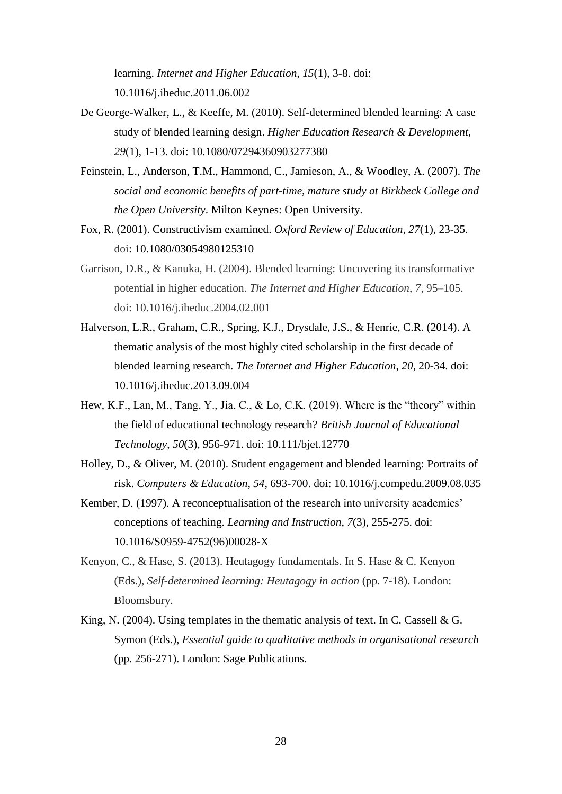learning. *Internet and Higher Education*, *15*(1), 3-8. doi: 10.1016/j.iheduc.2011.06.002

- De George-Walker, L., & Keeffe, M. (2010). Self-determined blended learning: A case study of blended learning design. *Higher Education Research & Development*, *29*(1), 1-13. doi: 10.1080/07294360903277380
- Feinstein, L., Anderson, T.M., Hammond, C., Jamieson, A., & Woodley, A. (2007). *The social and economic benefits of part-time, mature study at Birkbeck College and the Open University*. Milton Keynes: Open University.
- Fox, R. (2001). Constructivism examined. *Oxford Review of Education*, *27*(1), 23-35. doi: 10.1080/03054980125310
- Garrison, D.R., & Kanuka, H. (2004). Blended learning: Uncovering its transformative potential in higher education. *The Internet and Higher Education*, *7*, 95–105. doi: 10.1016/j.iheduc.2004.02.001
- Halverson, L.R., Graham, C.R., Spring, K.J., Drysdale, J.S., & Henrie, C.R. (2014). A thematic analysis of the most highly cited scholarship in the first decade of blended learning research. *The Internet and Higher Education*, *20*, 20-34. doi: 10.1016/j.iheduc.2013.09.004
- Hew, K.F., Lan, M., Tang, Y., Jia, C., & Lo, C.K. (2019). Where is the "theory" within the field of educational technology research? *British Journal of Educational Technology*, *50*(3), 956-971. doi: 10.111/bjet.12770
- Holley, D., & Oliver, M. (2010). Student engagement and blended learning: Portraits of risk. *Computers & Education*, *54*, 693-700. doi: 10.1016/j.compedu.2009.08.035
- Kember, D. (1997). A reconceptualisation of the research into university academics' conceptions of teaching. *Learning and Instruction*, *7*(3), 255-275. doi: 10.1016/S0959-4752(96)00028-X
- Kenyon, C., & Hase, S. (2013). Heutagogy fundamentals. In S. Hase & C. Kenyon (Eds.), *Self-determined learning: Heutagogy in action* (pp. 7-18). London: Bloomsbury.
- King, N. (2004). Using templates in the thematic analysis of text. In C. Cassell  $& G$ . Symon (Eds.), *Essential guide to qualitative methods in organisational research* (pp. 256-271). London: Sage Publications.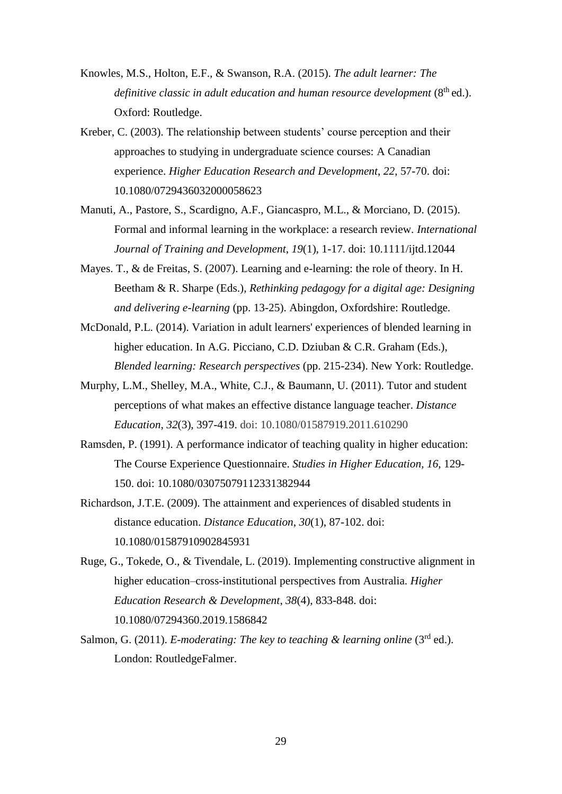- Knowles, M.S., Holton, E.F., & Swanson, R.A. (2015). *The adult learner: The*  definitive classic in adult education and human resource development (8<sup>th</sup> ed.). Oxford: Routledge.
- Kreber, C. (2003). The relationship between students' course perception and their approaches to studying in undergraduate science courses: A Canadian experience. *Higher Education Research and Development*, *22*, 57-70. doi: 10.1080/0729436032000058623
- Manuti, A., Pastore, S., Scardigno, A.F., Giancaspro, M.L., & Morciano, D. (2015). Formal and informal learning in the workplace: a research review. *International Journal of Training and Development*, *19*(1), 1-17. doi: 10.1111/ijtd.12044
- Mayes. T., & de Freitas, S. (2007). Learning and e-learning: the role of theory. In H. Beetham & R. Sharpe (Eds.), *Rethinking pedagogy for a digital age: Designing and delivering e-learning* (pp. 13-25). Abingdon, Oxfordshire: Routledge.
- McDonald, P.L. (2014). Variation in adult learners' experiences of blended learning in higher education. In A.G. Picciano, C.D. Dziuban & C.R. Graham (Eds.), *Blended learning: Research perspectives* (pp. 215-234). New York: Routledge.
- Murphy, L.M., Shelley, M.A., White, C.J., & Baumann, U. (2011). Tutor and student perceptions of what makes an effective distance language teacher. *Distance Education*, *32*(3), 397-419. doi: 10.1080/01587919.2011.610290
- Ramsden, P. (1991). A performance indicator of teaching quality in higher education: The Course Experience Questionnaire. *Studies in Higher Education*, *16*, 129- 150. doi: 10.1080/03075079112331382944
- Richardson, J.T.E. (2009). The attainment and experiences of disabled students in distance education. *Distance Education*, *30*(1), 87-102. doi: 10.1080/01587910902845931
- Ruge, G., Tokede, O., & Tivendale, L. (2019). Implementing constructive alignment in higher education–cross-institutional perspectives from Australia. *Higher Education Research & Development*, *38*(4), 833-848. doi: 10.1080/07294360.2019.1586842
- Salmon, G. (2011). *E-moderating: The key to teaching & learning online* (3<sup>rd</sup> ed.). London: RoutledgeFalmer.